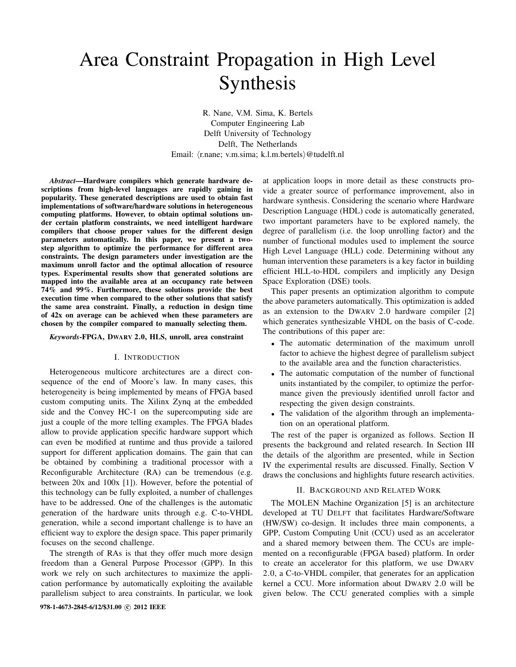# Area Constraint Propagation in High Level Synthesis

R. Nane, V.M. Sima, K. Bertels Computer Engineering Lab Delft University of Technology Delft, The Netherlands Email:  $\langle$ r.nane; v.m.sima; k.l.m.bertels $\rangle$ @tudelft.nl

*Abstract*—Hardware compilers which generate hardware descriptions from high-level languages are rapidly gaining in popularity. These generated descriptions are used to obtain fast implementations of software/hardware solutions in heterogeneous computing platforms. However, to obtain optimal solutions under certain platform constraints, we need intelligent hardware compilers that choose proper values for the different design parameters automatically. In this paper, we present a twostep algorithm to optimize the performance for different area constraints. The design parameters under investigation are the maximum unroll factor and the optimal allocation of resource types. Experimental results show that generated solutions are mapped into the available area at an occupancy rate between 74% and 99%. Furthermore, these solutions provide the best execution time when compared to the other solutions that satisfy the same area constraint. Finally, a reduction in design time of 42x on average can be achieved when these parameters are chosen by the compiler compared to manually selecting them.

#### *Keywords*-FPGA, DWARV 2.0, HLS, unroll, area constraint

#### I. INTRODUCTION

Heterogeneous multicore architectures are a direct consequence of the end of Moore's law. In many cases, this heterogeneity is being implemented by means of FPGA based custom computing units. The Xilinx Zynq at the embedded side and the Convey HC-1 on the supercomputing side are just a couple of the more telling examples. The FPGA blades allow to provide application specific hardware support which can even be modified at runtime and thus provide a tailored support for different application domains. The gain that can be obtained by combining a traditional processor with a Reconfigurable Architecture (RA) can be tremendous (e.g. between 20x and 100x [1]). However, before the potential of this technology can be fully exploited, a number of challenges have to be addressed. One of the challenges is the automatic generation of the hardware units through e.g. C-to-VHDL generation, while a second important challenge is to have an efficient way to explore the design space. This paper primarily focuses on the second challenge.

The strength of RAs is that they offer much more design freedom than a General Purpose Processor (GPP). In this work we rely on such architectures to maximize the application performance by automatically exploiting the available parallelism subject to area constraints. In particular, we look

978-1-4673-2845-6/12/\$31.00 © 2012 IEEE

at application loops in more detail as these constructs provide a greater source of performance improvement, also in hardware synthesis. Considering the scenario where Hardware Description Language (HDL) code is automatically generated, two important parameters have to be explored namely, the degree of parallelism (i.e. the loop unrolling factor) and the number of functional modules used to implement the source High Level Language (HLL) code. Determining without any human intervention these parameters is a key factor in building efficient HLL-to-HDL compilers and implicitly any Design Space Exploration (DSE) tools.

This paper presents an optimization algorithm to compute the above parameters automatically. This optimization is added as an extension to the DWARV 2.0 hardware compiler [2] which generates synthesizable VHDL on the basis of C-code. The contributions of this paper are:

- The automatic determination of the maximum unroll factor to achieve the highest degree of parallelism subject to the available area and the function characteristics.
- The automatic computation of the number of functional units instantiated by the compiler, to optimize the performance given the previously identified unroll factor and respecting the given design constraints.
- The validation of the algorithm through an implementation on an operational platform.

The rest of the paper is organized as follows. Section II presents the background and related research. In Section III the details of the algorithm are presented, while in Section IV the experimental results are discussed. Finally, Section V draws the conclusions and highlights future research activities.

## II. BACKGROUND AND RELATED WORK

The MOLEN Machine Organization [5] is an architecture developed at TU DELFT that facilitates Hardware/Software (HW/SW) co-design. It includes three main components, a GPP, Custom Computing Unit (CCU) used as an accelerator and a shared memory between them. The CCUs are implemented on a reconfigurable (FPGA based) platform. In order to create an accelerator for this platform, we use DWARV 2.0, a C-to-VHDL compiler, that generates for an application kernel a CCU. More information about DWARV 2.0 will be given below. The CCU generated complies with a simple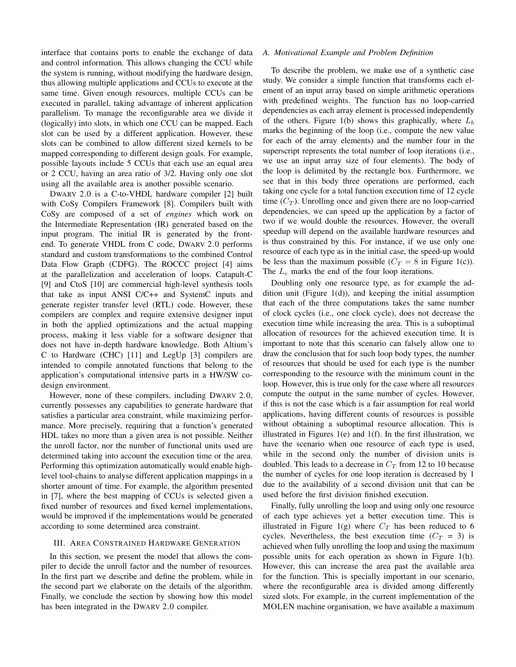interface that contains ports to enable the exchange of data and control information. This allows changing the CCU while the system is running, without modifying the hardware design, thus allowing multiple applications and CCUs to execute at the same time. Given enough resources, multiple CCUs can be executed in parallel, taking advantage of inherent application parallelism. To manage the reconfigurable area we divide it (logically) into slots, in which one CCU can be mapped. Each slot can be used by a different application. However, these slots can be combined to allow different sized kernels to be mapped corresponding to different design goals. For example, possible layouts include 5 CCUs that each use an equal area or 2 CCU, having an area ratio of 3/2. Having only one slot using all the available area is another possible scenario.

DWARV 2.0 is a C-to-VHDL hardware compiler [2] built with CoSy Compilers Framework [8]. Compilers built with CoSy are composed of a set of *engines* which work on the Intermediate Representation (IR) generated based on the input program. The initial IR is generated by the frontend. To generate VHDL from C code, DWARV 2.0 performs standard and custom transformations to the combined Control Data Flow Graph (CDFG). The ROCCC project [4] aims at the parallelization and acceleration of loops. Catapult-C [9] and CtoS [10] are commercial high-level synthesis tools that take as input ANSI C/C++ and SystemC inputs and generate register transfer level (RTL) code. However, these compilers are complex and require extensive designer input in both the applied optimizations and the actual mapping process, making it less viable for a software designer that does not have in-depth hardware knowledge. Both Altium's C to Hardware (CHC) [11] and LegUp [3] compilers are intended to compile annotated functions that belong to the application's computational intensive parts in a HW/SW codesign environment.

However, none of these compilers, including DWARV 2.0, currently possesses any capabilities to generate hardware that satisfies a particular area constraint, while maximizing performance. More precisely, requiring that a function's generated HDL takes no more than a given area is not possible. Neither the unroll factor, nor the number of functional units used are determined taking into account the execution time or the area. Performing this optimization automatically would enable highlevel tool-chains to analyse different application mappings in a shorter amount of time. For example, the algorithm presented in [7], where the best mapping of CCUs is selected given a fixed number of resources and fixed kernel implementations, would be improved if the implementations would be generated according to some determined area constraint.

# III. AREA CONSTRAINED HARDWARE GENERATION

In this section, we present the model that allows the compiler to decide the unroll factor and the number of resources. In the first part we describe and define the problem, while in the second part we elaborate on the details of the algorithm. Finally, we conclude the section by showing how this model has been integrated in the DWARV 2.0 compiler.

### *A. Motivational Example and Problem Definition*

To describe the problem, we make use of a synthetic case study. We consider a simple function that transforms each element of an input array based on simple arithmetic operations with predefined weights. The function has no loop-carried dependencies as each array element is processed independently of the others. Figure 1(b) shows this graphically, where  $L_b$ marks the beginning of the loop (i.e., compute the new value for each of the array elements) and the number four in the superscript represents the total number of loop iterations (i.e., we use an input array size of four elements). The body of the loop is delimited by the rectangle box. Furthermore, we see that in this body three operations are performed, each taking one cycle for a total function execution time of 12 cycle time  $(C_T)$ . Unrolling once and given there are no loop-carried dependencies, we can speed up the application by a factor of two if we would double the resources. However, the overall speedup will depend on the available hardware resources and is thus constrained by this. For instance, if we use only one resource of each type as in the initial case, the speed-up would be less than the maximum possible  $(C_T = 8$  in Figure 1(c)). The  $L_e$  marks the end of the four loop iterations.

Doubling only one resource type, as for example the addition unit (Figure 1(d)), and keeping the initial assumption that each of the three computations takes the same number of clock cycles (i.e., one clock cycle), does not decrease the execution time while increasing the area. This is a suboptimal allocation of resources for the achieved execution time. It is important to note that this scenario can falsely allow one to draw the conclusion that for such loop body types, the number of resources that should be used for each type is the number corresponding to the resource with the minimum count in the loop. However, this is true only for the case where all resources compute the output in the same number of cycles. However, if this is not the case which is a fair assumption for real world applications, having different counts of resources is possible without obtaining a suboptimal resource allocation. This is illustrated in Figures  $1(e)$  and  $1(f)$ . In the first illustration, we have the scenario when one resource of each type is used, while in the second only the number of division units is doubled. This leads to a decrease in  $C_T$  from 12 to 10 because the number of cycles for one loop iteration is decreased by 1 due to the availability of a second division unit that can be used before the first division finished execution.

Finally, fully unrolling the loop and using only one resource of each type achieves yet a better execution time. This is illustrated in Figure 1(g) where  $C_T$  has been reduced to 6 cycles. Nevertheless, the best execution time  $(C_T = 3)$  is achieved when fully unrolling the loop and using the maximum possible units for each operation as shown in Figure 1(h). However, this can increase the area past the available area for the function. This is specially important in our scenario, where the reconfigurable area is divided among differently sized slots. For example, in the current implementation of the MOLEN machine organisation, we have available a maximum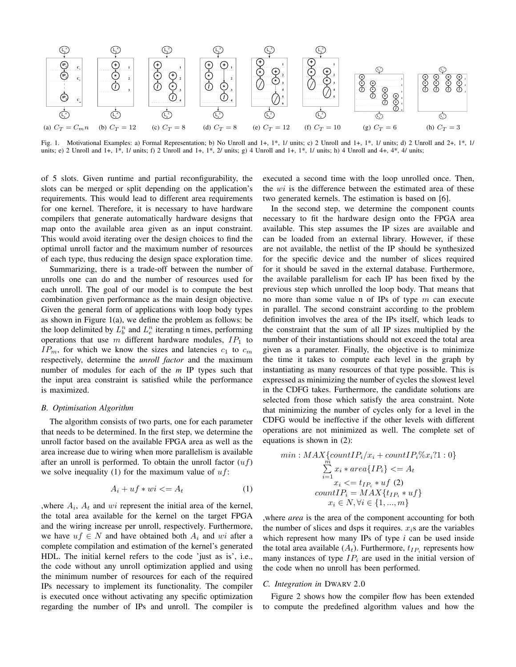

Fig. 1. Motivational Examples: a) Formal Representation; b) No Unroll and 1+, 1\*, 1/ units; c) 2 Unroll and 1+, 1\*, 1/ units; d) 2 Unroll and 2+, 1\*, 1/ units; e) 2 Unroll and 1+, 1\*, 1/ units; f) 2 Unroll and 1+, 1\*, 2/ units; g) 4 Unroll and 1+, 1\*, 1/ units; h) 4 Unroll and 4+, 4\*, 4/ units;

of 5 slots. Given runtime and partial reconfigurability, the slots can be merged or split depending on the application's requirements. This would lead to different area requirements for one kernel. Therefore, it is necessary to have hardware compilers that generate automatically hardware designs that map onto the available area given as an input constraint. This would avoid iterating over the design choices to find the optimal unroll factor and the maximum number of resources of each type, thus reducing the design space exploration time.

Summarizing, there is a trade-off between the number of unrolls one can do and the number of resources used for each unroll. The goal of our model is to compute the best combination given performance as the main design objective. Given the general form of applications with loop body types as shown in Figure 1(a), we define the problem as follows: be the loop delimited by  $L_b^n$  and  $L_e^n$  iterating n times, performing operations that use  $m$  different hardware modules,  $IP<sub>1</sub>$  to  $IP_m$ , for which we know the sizes and latencies  $c_1$  to  $c_m$ respectively, determine the *unroll factor* and the maximum number of modules for each of the *m* IP types such that the input area constraint is satisfied while the performance is maximized.

#### *B. Optimisation Algorithm*

The algorithm consists of two parts, one for each parameter that needs to be determined. In the first step, we determine the unroll factor based on the available FPGA area as well as the area increase due to wiring when more parallelism is available after an unroll is performed. To obtain the unroll factor  $(u f)$ we solve inequality (1) for the maximum value of  $uf$ :

$$
A_i + uf * wi \leq A_t \tag{1}
$$

where  $A_i$ ,  $A_t$  and wi represent the initial area of the kernel, the total area available for the kernel on the target FPGA and the wiring increase per unroll, respectively. Furthermore, we have  $uf \in N$  and have obtained both  $A_i$  and wi after a complete compilation and estimation of the kernel's generated HDL. The initial kernel refers to the code 'just as is', i.e., the code without any unroll optimization applied and using the minimum number of resources for each of the required IPs necessary to implement its functionality. The compiler is executed once without activating any specific optimization regarding the number of IPs and unroll. The compiler is executed a second time with the loop unrolled once. Then, the wi is the difference between the estimated area of these two generated kernels. The estimation is based on [6].

In the second step, we determine the component counts necessary to fit the hardware design onto the FPGA area available. This step assumes the IP sizes are available and can be loaded from an external library. However, if these are not available, the netlist of the IP should be synthesized for the specific device and the number of slices required for it should be saved in the external database. Furthermore, the available parallelism for each IP has been fixed by the previous step which unrolled the loop body. That means that no more than some value n of IPs of type  $m$  can execute in parallel. The second constraint according to the problem definition involves the area of the IPs itself, which leads to the constraint that the sum of all IP sizes multiplied by the number of their instantiations should not exceed the total area given as a parameter. Finally, the objective is to minimize the time it takes to compute each level in the graph by instantiating as many resources of that type possible. This is expressed as minimizing the number of cycles the slowest level in the CDFG takes. Furthermore, the candidate solutions are selected from those which satisfy the area constraint. Note that minimizing the number of cycles only for a level in the CDFG would be ineffective if the other levels with different operations are not minimized as well. The complete set of equations is shown in (2):

$$
min: MAX{countIP_i}/x_i + countIP_i \% x_i ?1 : 0
$$

$$
\sum_{i=1}^{m} x_i * area\{IP_i\} <= A_t
$$

$$
x_i <= t_{IP_i} * uf \text{ (2)}
$$

$$
countIP_i = MAX\{t_{IP_i} * uf\}
$$

$$
x_i \in N, \forall i \in \{1, ..., m\}
$$

,where *area* is the area of the component accounting for both the number of slices and dsps it requires.  $x_i$ s are the variables which represent how many IPs of type *i* can be used inside the total area available  $(A_t)$ . Furthermore,  $t_{IP_i}$  represents how many instances of type  $IP_i$  are used in the initial version of the code when no unroll has been performed.

# *C. Integration in* DWARV 2.0

Figure 2 shows how the compiler flow has been extended to compute the predefined algorithm values and how the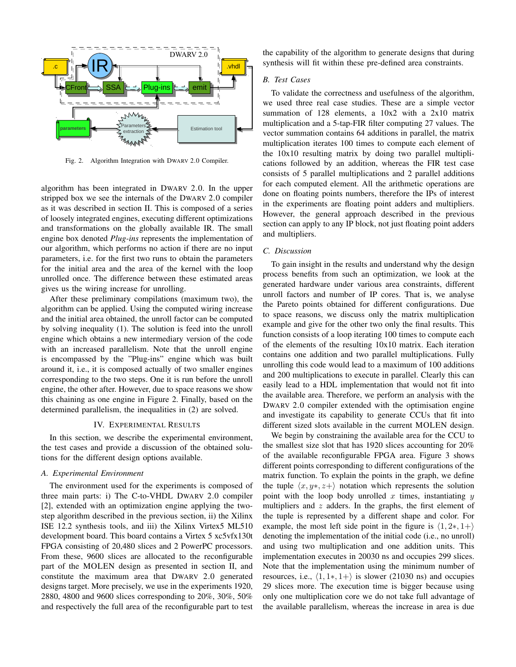

Fig. 2. Algorithm Integration with DWARV 2.0 Compiler.

algorithm has been integrated in DWARV 2.0. In the upper stripped box we see the internals of the DWARV 2.0 compiler as it was described in section II. This is composed of a series of loosely integrated engines, executing different optimizations and transformations on the globally available IR. The small engine box denoted *Plug-ins* represents the implementation of our algorithm, which performs no action if there are no input parameters, i.e. for the first two runs to obtain the parameters for the initial area and the area of the kernel with the loop unrolled once. The difference between these estimated areas gives us the wiring increase for unrolling.

After these preliminary compilations (maximum two), the algorithm can be applied. Using the computed wiring increase and the initial area obtained, the unroll factor can be computed by solving inequality (1). The solution is feed into the unroll engine which obtains a new intermediary version of the code with an increased parallelism. Note that the unroll engine is encompassed by the "Plug-ins" engine which was built around it, i.e., it is composed actually of two smaller engines corresponding to the two steps. One it is run before the unroll engine, the other after. However, due to space reasons we show this chaining as one engine in Figure 2. Finally, based on the determined parallelism, the inequalities in (2) are solved.

## IV. EXPERIMENTAL RESULTS

In this section, we describe the experimental environment, the test cases and provide a discussion of the obtained solutions for the different design options available.

### *A. Experimental Environment*

The environment used for the experiments is composed of three main parts: i) The C-to-VHDL DWARV 2.0 compiler [2], extended with an optimization engine applying the twostep algorithm described in the previous section, ii) the Xilinx ISE 12.2 synthesis tools, and iii) the Xilinx Virtex5 ML510 development board. This board contains a Virtex 5 xc5vfx130t FPGA consisting of 20,480 slices and 2 PowerPC processors. From these, 9600 slices are allocated to the reconfigurable part of the MOLEN design as presented in section II, and constitute the maximum area that DWARV 2.0 generated designs target. More precisely, we use in the experiments 1920, 2880, 4800 and 9600 slices corresponding to 20%, 30%, 50% and respectively the full area of the reconfigurable part to test

the capability of the algorithm to generate designs that during synthesis will fit within these pre-defined area constraints.

# *B. Test Cases*

To validate the correctness and usefulness of the algorithm, we used three real case studies. These are a simple vector summation of 128 elements, a 10x2 with a 2x10 matrix multiplication and a 5-tap-FIR filter computing 27 values. The vector summation contains 64 additions in parallel, the matrix multiplication iterates 100 times to compute each element of the 10x10 resulting matrix by doing two parallel multiplications followed by an addition, whereas the FIR test case consists of 5 parallel multiplications and 2 parallel additions for each computed element. All the arithmetic operations are done on floating points numbers, therefore the IPs of interest in the experiments are floating point adders and multipliers. However, the general approach described in the previous section can apply to any IP block, not just floating point adders and multipliers.

# *C. Discussion*

To gain insight in the results and understand why the design process benefits from such an optimization, we look at the generated hardware under various area constraints, different unroll factors and number of IP cores. That is, we analyse the Pareto points obtained for different configurations. Due to space reasons, we discuss only the matrix multiplication example and give for the other two only the final results. This function consists of a loop iterating 100 times to compute each of the elements of the resulting 10x10 matrix. Each iteration contains one addition and two parallel multiplications. Fully unrolling this code would lead to a maximum of 100 additions and 200 multiplications to execute in parallel. Clearly this can easily lead to a HDL implementation that would not fit into the available area. Therefore, we perform an analysis with the DWARV 2.0 compiler extended with the optimisation engine and investigate its capability to generate CCUs that fit into different sized slots available in the current MOLEN design.

We begin by constraining the available area for the CCU to the smallest size slot that has 1920 slices accounting for 20% of the available reconfigurable FPGA area. Figure 3 shows different points corresponding to different configurations of the matrix function. To explain the points in the graph, we define the tuple  $\langle x, y*, z+\rangle$  notation which represents the solution point with the loop body unrolled  $x$  times, instantiating  $y$ multipliers and z adders. In the graphs, the first element of the tuple is represented by a different shape and color. For example, the most left side point in the figure is  $\langle 1, 2*, 1+\rangle$ denoting the implementation of the initial code (i.e., no unroll) and using two multiplication and one addition units. This implementation executes in 20030 ns and occupies 299 slices. Note that the implementation using the minimum number of resources, i.e.,  $\langle 1, 1*, 1+\rangle$  is slower (21030 ns) and occupies 29 slices more. The execution time is bigger because using only one multiplication core we do not take full advantage of the available parallelism, whereas the increase in area is due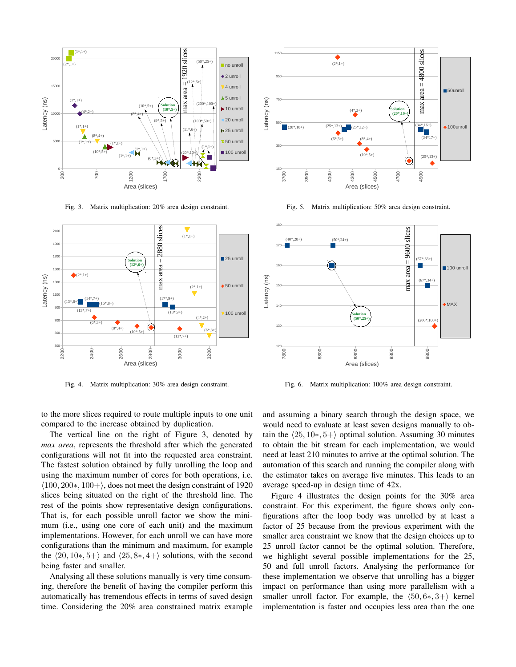

Fig. 3. Matrix multiplication: 20% area design constraint.



Fig. 4. Matrix multiplication: 30% area design constraint.



The vertical line on the right of Figure 3, denoted by *max area*, represents the threshold after which the generated configurations will not fit into the requested area constraint. The fastest solution obtained by fully unrolling the loop and using the maximum number of cores for both operations, i.e.  $\langle 100, 200*, 100+\rangle$ , does not meet the design constraint of 1920 slices being situated on the right of the threshold line. The rest of the points show representative design configurations. That is, for each possible unroll factor we show the minimum (i.e., using one core of each unit) and the maximum implementations. However, for each unroll we can have more configurations than the minimum and maximum, for example the  $\langle 20, 10*, 5+\rangle$  and  $\langle 25, 8*, 4+\rangle$  solutions, with the second being faster and smaller.

Analysing all these solutions manually is very time consuming, therefore the benefit of having the compiler perform this automatically has tremendous effects in terms of saved design time. Considering the 20% area constrained matrix example



Fig. 5. Matrix multiplication: 50% area design constraint.



Fig. 6. Matrix multiplication: 100% area design constraint.

and assuming a binary search through the design space, we would need to evaluate at least seven designs manually to obtain the  $\langle 25, 10*, 5+ \rangle$  optimal solution. Assuming 30 minutes to obtain the bit stream for each implementation, we would need at least 210 minutes to arrive at the optimal solution. The automation of this search and running the compiler along with the estimator takes on average five minutes. This leads to an average speed-up in design time of 42x.

Figure 4 illustrates the design points for the 30% area constraint. For this experiment, the figure shows only configurations after the loop body was unrolled by at least a factor of 25 because from the previous experiment with the smaller area constraint we know that the design choices up to 25 unroll factor cannot be the optimal solution. Therefore, we highlight several possible implementations for the 25, 50 and full unroll factors. Analysing the performance for these implementation we observe that unrolling has a bigger impact on performance than using more parallelism with a smaller unroll factor. For example, the  $\langle 50, 6*, 3+ \rangle$  kernel implementation is faster and occupies less area than the one